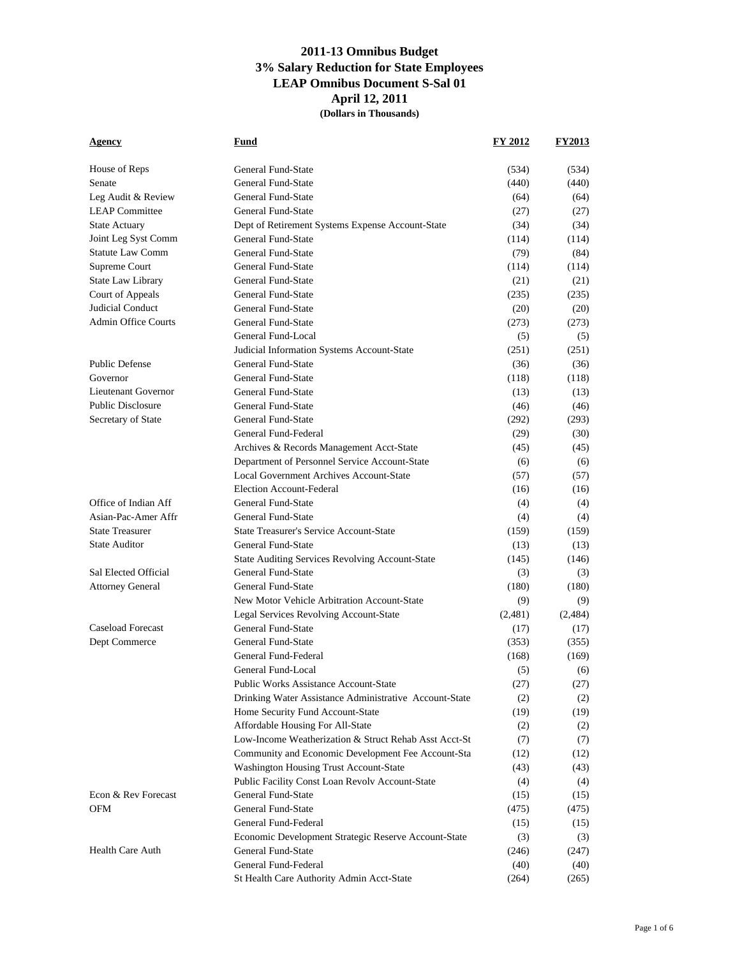# **2011-13 Omnibus Budget 3% Salary Reduction for State Employees LEAP Omnibus Document S-Sal 01 April 12, 2011**

**(Dollars in Thousands)**

| Agency                                      | Fund                                                                 | FY 2012       | <b>FY2013</b> |
|---------------------------------------------|----------------------------------------------------------------------|---------------|---------------|
|                                             |                                                                      |               |               |
| House of Reps                               | General Fund-State                                                   | (534)         | (534)         |
| Senate                                      | General Fund-State                                                   | (440)         | (440)         |
| Leg Audit & Review                          | General Fund-State                                                   | (64)          | (64)          |
| <b>LEAP</b> Committee                       | General Fund-State                                                   | (27)          | (27)          |
| <b>State Actuary</b>                        | Dept of Retirement Systems Expense Account-State                     | (34)          | (34)          |
| Joint Leg Syst Comm                         | General Fund-State                                                   | (114)         | (114)         |
| <b>Statute Law Comm</b>                     | General Fund-State                                                   | (79)          | (84)          |
| Supreme Court                               | General Fund-State                                                   | (114)         | (114)         |
| State Law Library                           | General Fund-State                                                   | (21)          | (21)          |
| Court of Appeals                            | General Fund-State                                                   | (235)         | (235)         |
| Judicial Conduct                            | General Fund-State                                                   | (20)          | (20)          |
| <b>Admin Office Courts</b>                  | General Fund-State                                                   | (273)         | (273)         |
|                                             | General Fund-Local                                                   | (5)           | (5)           |
|                                             | Judicial Information Systems Account-State                           | (251)         | (251)         |
| <b>Public Defense</b><br>Governor           | General Fund-State                                                   | (36)          | (36)          |
|                                             | General Fund-State                                                   | (118)         | (118)         |
| Lieutenant Governor                         | General Fund-State                                                   | (13)          | (13)          |
| <b>Public Disclosure</b>                    | General Fund-State                                                   | (46)          | (46)          |
| Secretary of State                          | General Fund-State<br>General Fund-Federal                           | (292)         | (293)         |
|                                             |                                                                      | (29)          | (30)          |
|                                             | Archives & Records Management Acct-State                             | (45)          | (45)          |
|                                             | Department of Personnel Service Account-State                        | (6)           | (6)           |
|                                             | Local Government Archives Account-State                              | (57)          | (57)          |
|                                             | <b>Election Account-Federal</b>                                      | (16)          | (16)          |
| Office of Indian Aff<br>Asian-Pac-Amer Affr | General Fund-State                                                   | (4)           | (4)           |
| <b>State Treasurer</b>                      | General Fund-State<br><b>State Treasurer's Service Account-State</b> | (4)           | (4)           |
| <b>State Auditor</b>                        | General Fund-State                                                   | (159)         | (159)         |
|                                             | State Auditing Services Revolving Account-State                      | (13)<br>(145) | (13)<br>(146) |
| Sal Elected Official                        | General Fund-State                                                   | (3)           | (3)           |
| <b>Attorney General</b>                     | General Fund-State                                                   | (180)         | (180)         |
|                                             | New Motor Vehicle Arbitration Account-State                          | (9)           | (9)           |
|                                             | Legal Services Revolving Account-State                               | (2,481)       | (2,484)       |
| <b>Caseload Forecast</b>                    | General Fund-State                                                   | (17)          | (17)          |
| Dept Commerce                               | General Fund-State                                                   | (353)         | (355)         |
|                                             | General Fund-Federal                                                 | (168)         | (169)         |
|                                             | General Fund-Local                                                   | (5)           | (6)           |
|                                             | <b>Public Works Assistance Account-State</b>                         | (27)          | (27)          |
|                                             | Drinking Water Assistance Administrative Account-State               | (2)           | (2)           |
|                                             | Home Security Fund Account-State                                     | (19)          | (19)          |
|                                             | Affordable Housing For All-State                                     | (2)           | (2)           |
|                                             | Low-Income Weatherization & Struct Rehab Asst Acct-St                | (7)           | (7)           |
|                                             | Community and Economic Development Fee Account-Sta                   | (12)          | (12)          |
|                                             | Washington Housing Trust Account-State                               | (43)          | (43)          |
|                                             | Public Facility Const Loan Revolv Account-State                      | (4)           | (4)           |
| Econ & Rev Forecast                         | General Fund-State                                                   | (15)          | (15)          |
| OFM                                         | General Fund-State                                                   | (475)         | (475)         |
|                                             | General Fund-Federal                                                 | (15)          | (15)          |
|                                             | Economic Development Strategic Reserve Account-State                 | (3)           | (3)           |
| <b>Health Care Auth</b>                     | General Fund-State                                                   | (246)         | (247)         |
|                                             | General Fund-Federal                                                 | (40)          | (40)          |
|                                             | St Health Care Authority Admin Acct-State                            | (264)         | (265)         |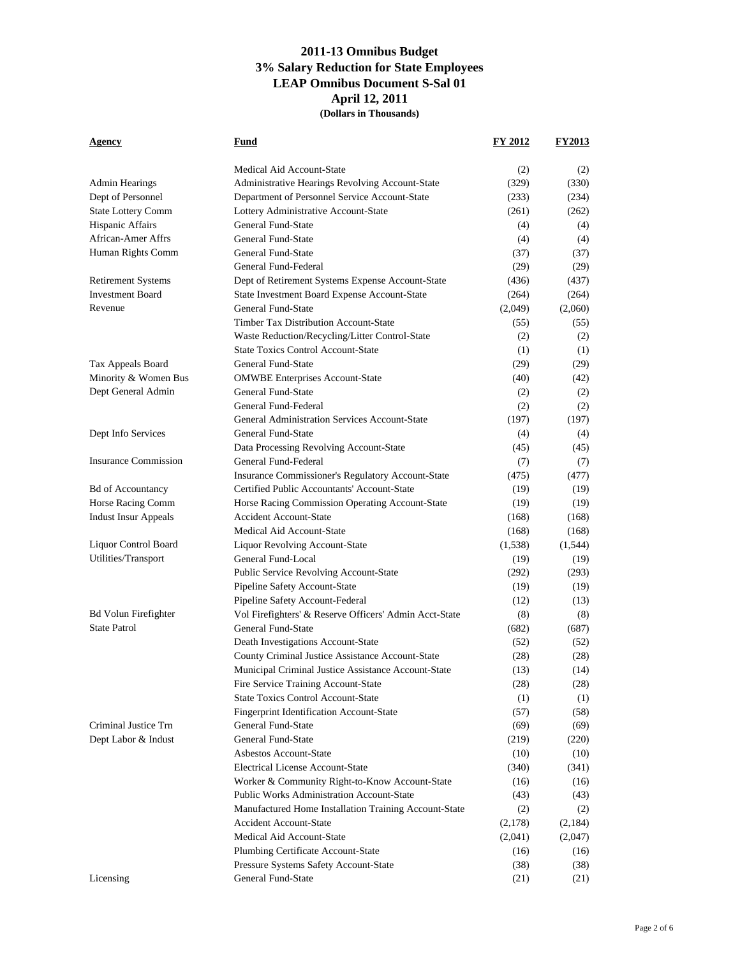**Agency Fund FY 2012 FY2013** Medical Aid Account-State (2) (2) Admin Hearings Administrative Hearings Revolving Account-State (329) (330) Dept of Personnel Department of Personnel Service Account-State (233) (234) State Lottery Comm Lottery Administrative Account-State (261) (262) Hispanic Affairs **General Fund-State** (4) (4) (4) African-Amer Affrs General Fund-State (4) (4) (4) Human Rights Comm General Fund-State (37) (37) (37) General Fund-Federal (29) (29) (29) Retirement Systems Dept of Retirement Systems Expense Account-State (436) (437) Investment Board State Investment Board Expense Account-State (264) (264) Revenue General Fund-State (2,049) (2,060) Timber Tax Distribution Account-State (55) (55) (55) Waste Reduction/Recycling/Litter Control-State (2) (2) State Toxics Control Account-State (1) (1) (1) Tax Appeals Board General Fund-State (29) (29) (29) (29) Minority & Women Bus OMWBE Enterprises Account-State (40) (42) Dept General Admin General Fund-State (2) (2) General Fund-Federal (2) (2) (2) General Administration Services Account-State (197) (197) (197) Dept Info Services General Fund-State (4) (4) Data Processing Revolving Account-State (45) (45) Insurance Commission General Fund-Federal (7) (7) Insurance Commissioner's Regulatory Account-State (475) (477) Bd of Accountancy **Certified Public Accountants' Account-State** (19) (19) (19) Horse Racing Comm Horse Racing Commission Operating Account-State (19) (19) Indust Insur Appeals Accident Account-State (168) (168) Medical Aid Account-State (168) (168) (168) Liquor Control Board Liquor Revolving Account-State (1,538) (1,544) Utilities/Transport General Fund-Local (19) (19) (19) (19) Public Service Revolving Account-State (292) (293) Pipeline Safety Account-State (19) (19) (19) Pipeline Safety Account-Federal (12) (13) Bd Volun Firefighter Vol Firefighters' & Reserve Officers' Admin Acct-State (8) (8) State Patrol General Fund-State (682) (687) Death Investigations Account-State (52) (52) County Criminal Justice Assistance Account-State (28) (28) Municipal Criminal Justice Assistance Account-State (13) (14) Fire Service Training Account-State (28) (28) (28) State Toxics Control Account-State (1) (1) (1) Fingerprint Identification Account-State (57) (58)

Criminal Justice Trn General Fund-State (69) (69) Dept Labor & Indust General Fund-State (219) (220)

> Asbestos Account-State (10) (10) (10) Electrical License Account-State (340) (341) Worker & Community Right-to-Know Account-State (16) (16) (16) Public Works Administration Account-State (43) (43) Manufactured Home Installation Training Account-State (2) (2) Accident Account-State (2,178) (2,184) Medical Aid Account-State (2,041) (2,047) Plumbing Certificate Account-State (16) (16) (16) Pressure Systems Safety Account-State (38) (38)

Licensing General Fund-State (21) (21) (21)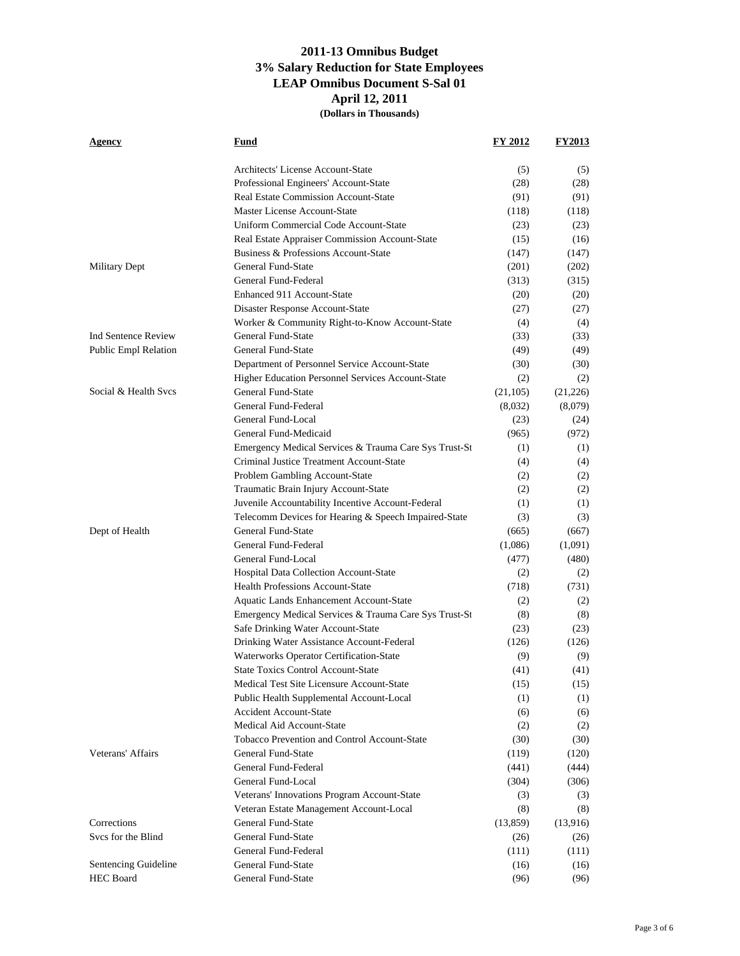| Agency                     | Fund                                                                            | FY 2012       | <b>FY2013</b> |
|----------------------------|---------------------------------------------------------------------------------|---------------|---------------|
|                            | Architects' License Account-State                                               | (5)           | (5)           |
|                            | Professional Engineers' Account-State                                           | (28)          | (28)          |
|                            | <b>Real Estate Commission Account-State</b>                                     | (91)          | (91)          |
|                            | Master License Account-State                                                    | (118)         | (118)         |
|                            | Uniform Commercial Code Account-State                                           | (23)          | (23)          |
|                            | Real Estate Appraiser Commission Account-State                                  | (15)          | (16)          |
|                            | Business & Professions Account-State                                            | (147)         | (147)         |
| Military Dept              | General Fund-State                                                              | (201)         | (202)         |
|                            | General Fund-Federal                                                            | (313)         | (315)         |
|                            | Enhanced 911 Account-State                                                      | (20)          | (20)          |
|                            | Disaster Response Account-State                                                 | (27)          | (27)          |
|                            | Worker & Community Right-to-Know Account-State                                  | (4)           | (4)           |
| <b>Ind Sentence Review</b> | General Fund-State                                                              | (33)          | (33)          |
| Public Empl Relation       | General Fund-State                                                              | (49)          | (49)          |
|                            | Department of Personnel Service Account-State                                   | (30)          | (30)          |
|                            | Higher Education Personnel Services Account-State                               | (2)           | (2)           |
| Social & Health Svcs       | General Fund-State                                                              | (21, 105)     | (21,226)      |
|                            | General Fund-Federal                                                            | (8,032)       | (8,079)       |
|                            | General Fund-Local                                                              | (23)          | (24)          |
|                            | General Fund-Medicaid                                                           | (965)         | (972)         |
|                            | Emergency Medical Services & Trauma Care Sys Trust-St                           | (1)           | (1)           |
|                            | Criminal Justice Treatment Account-State                                        | (4)           | (4)           |
|                            | Problem Gambling Account-State                                                  | (2)           | (2)           |
|                            | Traumatic Brain Injury Account-State                                            | (2)           | (2)           |
|                            | Juvenile Accountability Incentive Account-Federal                               | (1)           | (1)           |
|                            | Telecomm Devices for Hearing & Speech Impaired-State                            | (3)           | (3)           |
| Dept of Health             | General Fund-State                                                              | (665)         | (667)         |
|                            | General Fund-Federal                                                            | (1,086)       | (1,091)       |
|                            | General Fund-Local                                                              | (477)         | (480)         |
|                            | Hospital Data Collection Account-State                                          | (2)           |               |
|                            | <b>Health Professions Account-State</b>                                         | (718)         | (2)<br>(731)  |
|                            | Aquatic Lands Enhancement Account-State                                         | (2)           | (2)           |
|                            | Emergency Medical Services & Trauma Care Sys Trust-St                           | (8)           | (8)           |
|                            | Safe Drinking Water Account-State                                               |               |               |
|                            | Drinking Water Assistance Account-Federal                                       | (23)<br>(126) | (23)          |
|                            |                                                                                 |               | (126)         |
|                            | Waterworks Operator Certification-State                                         | (9)           | (9)           |
|                            | State Toxics Control Account-State<br>Medical Test Site Licensure Account-State | (41)          | (41)          |
|                            |                                                                                 | (15)          | (15)          |
|                            | Public Health Supplemental Account-Local                                        | (1)           | (1)           |
|                            | <b>Accident Account-State</b>                                                   | (6)           | (6)           |
|                            | Medical Aid Account-State<br>Tobacco Prevention and Control Account-State       | (2)           | (2)           |
|                            |                                                                                 | (30)          | (30)          |
| Veterans' Affairs          | General Fund-State                                                              | (119)         | (120)         |
|                            | General Fund-Federal                                                            | (441)         | (444)         |
|                            | General Fund-Local                                                              | (304)         | (306)         |
|                            | Veterans' Innovations Program Account-State                                     | (3)           | (3)           |
|                            | Veteran Estate Management Account-Local                                         | (8)           | (8)           |
| Corrections                | General Fund-State                                                              | (13, 859)     | (13,916)      |
| Svcs for the Blind         | General Fund-State                                                              | (26)          | (26)          |
|                            | General Fund-Federal                                                            | (111)         | (111)         |
| Sentencing Guideline       | General Fund-State                                                              | (16)          | (16)          |
| <b>HEC Board</b>           | General Fund-State                                                              | (96)          | (96)          |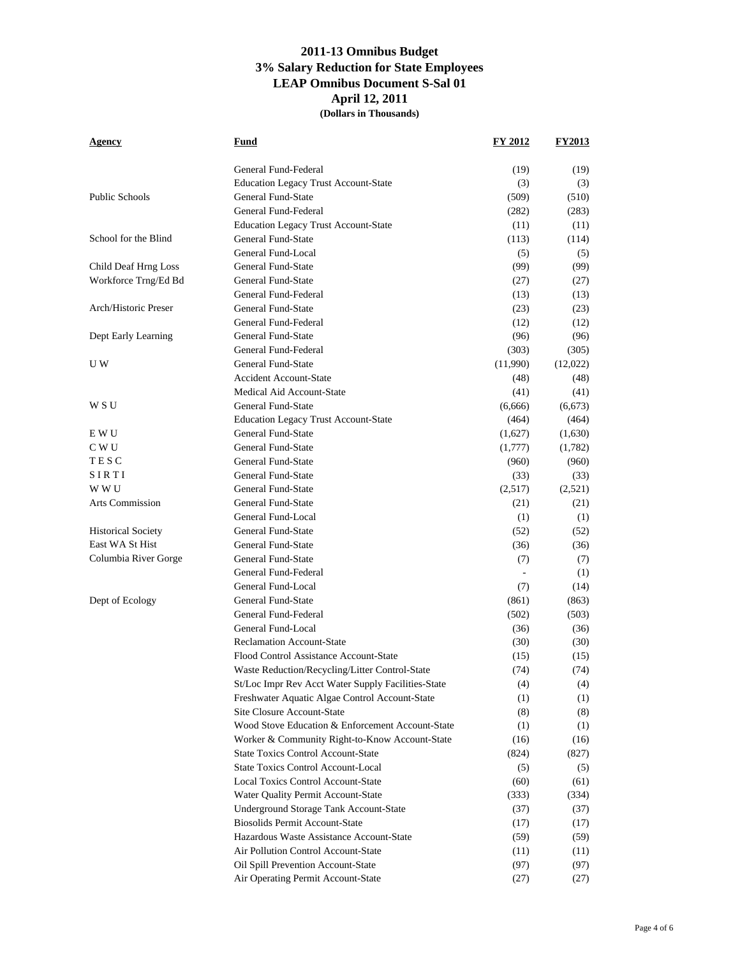| <u>Agency</u>                                | Fund                                                                            | FY 2012      | <b>FY2013</b> |
|----------------------------------------------|---------------------------------------------------------------------------------|--------------|---------------|
|                                              |                                                                                 |              |               |
|                                              | General Fund-Federal                                                            | (19)         | (19)          |
|                                              | <b>Education Legacy Trust Account-State</b>                                     | (3)          | (3)           |
| <b>Public Schools</b>                        | General Fund-State                                                              | (509)        | (510)         |
|                                              | General Fund-Federal                                                            | (282)        | (283)         |
|                                              | <b>Education Legacy Trust Account-State</b>                                     | (11)         | (11)          |
| School for the Blind                         | General Fund-State                                                              | (113)        | (114)         |
|                                              | General Fund-Local                                                              | (5)          | (5)           |
| Child Deaf Hrng Loss                         | General Fund-State<br>General Fund-State                                        | (99)         | (99)          |
| Workforce Trng/Ed Bd                         | General Fund-Federal                                                            | (27)         | (27)          |
| Arch/Historic Preser                         |                                                                                 | (13)         | (13)          |
|                                              | General Fund-State                                                              | (23)         | (23)          |
|                                              | General Fund-Federal                                                            | (12)         | (12)          |
| Dept Early Learning                          | General Fund-State                                                              | (96)         | (96)          |
|                                              | General Fund-Federal                                                            | (303)        | (305)         |
| U W                                          | General Fund-State                                                              | (11,990)     | (12,022)      |
|                                              | <b>Accident Account-State</b><br>Medical Aid Account-State                      | (48)         | (48)          |
|                                              |                                                                                 | (41)         | (41)          |
| W S U                                        | General Fund-State                                                              | (6,666)      | (6,673)       |
|                                              | <b>Education Legacy Trust Account-State</b>                                     | (464)        | (464)         |
| E W U                                        | General Fund-State                                                              | (1,627)      | (1,630)       |
| C W U                                        | General Fund-State                                                              | (1,777)      | (1,782)       |
| TESC                                         | General Fund-State                                                              | (960)        | (960)         |
| SIRTI<br>W W U                               | General Fund-State<br>General Fund-State                                        | (33)         | (33)          |
|                                              | General Fund-State                                                              | (2,517)      | (2,521)       |
| <b>Arts Commission</b>                       | General Fund-Local                                                              | (21)         | (21)          |
|                                              | General Fund-State                                                              | (1)          | (1)           |
| <b>Historical Society</b><br>East WA St Hist | General Fund-State                                                              | (52)         | (52)          |
| Columbia River Gorge                         | General Fund-State                                                              | (36)         | (36)          |
|                                              | General Fund-Federal                                                            | (7)          | (7)           |
|                                              | General Fund-Local                                                              |              | (1)           |
|                                              | General Fund-State                                                              | (7)          | (14)          |
| Dept of Ecology                              | General Fund-Federal                                                            | (861)        | (863)         |
|                                              | General Fund-Local                                                              | (502)        | (503)         |
|                                              | <b>Reclamation Account-State</b>                                                | (36)         | (36)          |
|                                              | Flood Control Assistance Account-State                                          | (30)         | (30)          |
|                                              | Waste Reduction/Recycling/Litter Control-State                                  | (15)<br>(74) | (15)<br>(74)  |
|                                              | St/Loc Impr Rev Acct Water Supply Facilities-State                              |              |               |
|                                              | Freshwater Aquatic Algae Control Account-State                                  | (4)<br>(1)   | (4)<br>(1)    |
|                                              | Site Closure Account-State                                                      | (8)          | (8)           |
|                                              | Wood Stove Education & Enforcement Account-State                                | (1)          | (1)           |
|                                              | Worker & Community Right-to-Know Account-State                                  | (16)         | (16)          |
|                                              | <b>State Toxics Control Account-State</b>                                       | (824)        | (827)         |
|                                              | <b>State Toxics Control Account-Local</b>                                       |              |               |
|                                              | <b>Local Toxics Control Account-State</b>                                       | (5)<br>(60)  | (5)<br>(61)   |
|                                              | Water Quality Permit Account-State                                              | (333)        |               |
|                                              |                                                                                 | (37)         | (334)         |
|                                              | Underground Storage Tank Account-State<br><b>Biosolids Permit Account-State</b> | (17)         | (37)<br>(17)  |
|                                              | Hazardous Waste Assistance Account-State                                        | (59)         | (59)          |
|                                              | Air Pollution Control Account-State                                             | (11)         | (11)          |
|                                              | Oil Spill Prevention Account-State                                              | (97)         | (97)          |
|                                              | Air Operating Permit Account-State                                              | (27)         | (27)          |
|                                              |                                                                                 |              |               |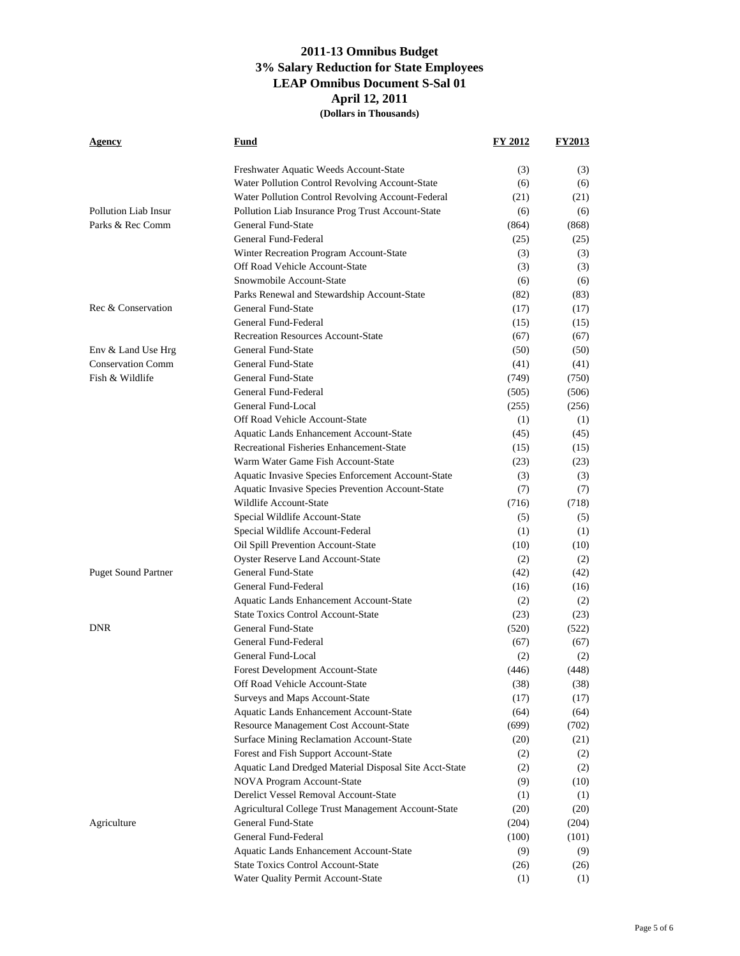| Agency                     | <u>Fund</u>                                            | FY 2012 | <b>FY2013</b> |
|----------------------------|--------------------------------------------------------|---------|---------------|
|                            | Freshwater Aquatic Weeds Account-State                 | (3)     | (3)           |
|                            | Water Pollution Control Revolving Account-State        | (6)     | (6)           |
|                            | Water Pollution Control Revolving Account-Federal      | (21)    | (21)          |
| Pollution Liab Insur       | Pollution Liab Insurance Prog Trust Account-State      | (6)     | (6)           |
| Parks & Rec Comm           | General Fund-State                                     | (864)   | (868)         |
|                            | General Fund-Federal                                   | (25)    | (25)          |
|                            | Winter Recreation Program Account-State                | (3)     | (3)           |
|                            | Off Road Vehicle Account-State                         | (3)     | (3)           |
|                            | Snowmobile Account-State                               | (6)     | (6)           |
|                            | Parks Renewal and Stewardship Account-State            | (82)    | (83)          |
| Rec & Conservation         | General Fund-State                                     | (17)    | (17)          |
|                            | General Fund-Federal                                   | (15)    | (15)          |
|                            | <b>Recreation Resources Account-State</b>              | (67)    | (67)          |
| Env & Land Use Hrg         | General Fund-State                                     | (50)    | (50)          |
| <b>Conservation Comm</b>   | General Fund-State                                     | (41)    | (41)          |
| Fish & Wildlife            | General Fund-State                                     | (749)   | (750)         |
|                            | General Fund-Federal                                   | (505)   | (506)         |
|                            | General Fund-Local                                     | (255)   | (256)         |
|                            | Off Road Vehicle Account-State                         | (1)     | (1)           |
|                            | Aquatic Lands Enhancement Account-State                | (45)    | (45)          |
|                            | Recreational Fisheries Enhancement-State               | (15)    | (15)          |
|                            | Warm Water Game Fish Account-State                     | (23)    | (23)          |
|                            | Aquatic Invasive Species Enforcement Account-State     | (3)     | (3)           |
|                            | Aquatic Invasive Species Prevention Account-State      | (7)     | (7)           |
|                            | Wildlife Account-State                                 | (716)   | (718)         |
|                            | Special Wildlife Account-State                         | (5)     | (5)           |
|                            | Special Wildlife Account-Federal                       | (1)     | (1)           |
|                            | Oil Spill Prevention Account-State                     | (10)    | (10)          |
|                            | <b>Oyster Reserve Land Account-State</b>               | (2)     | (2)           |
| <b>Puget Sound Partner</b> | <b>General Fund-State</b>                              | (42)    | (42)          |
|                            | General Fund-Federal                                   | (16)    | (16)          |
|                            | Aquatic Lands Enhancement Account-State                | (2)     | (2)           |
|                            | <b>State Toxics Control Account-State</b>              | (23)    | (23)          |
| <b>DNR</b>                 | General Fund-State                                     | (520)   | (522)         |
|                            | General Fund-Federal                                   | (67)    | (67)          |
|                            | General Fund-Local                                     | (2)     | (2)           |
|                            | <b>Forest Development Account-State</b>                | (446)   | (448)         |
|                            | Off Road Vehicle Account-State                         | (38)    | (38)          |
|                            | Surveys and Maps Account-State                         | (17)    | (17)          |
|                            | Aquatic Lands Enhancement Account-State                | (64)    | (64)          |
|                            | Resource Management Cost Account-State                 | (699)   | (702)         |
|                            | Surface Mining Reclamation Account-State               | (20)    | (21)          |
|                            | Forest and Fish Support Account-State                  | (2)     | (2)           |
|                            | Aquatic Land Dredged Material Disposal Site Acct-State | (2)     | (2)           |
|                            | NOVA Program Account-State                             | (9)     | (10)          |
|                            | Derelict Vessel Removal Account-State                  | (1)     | (1)           |
|                            | Agricultural College Trust Management Account-State    | (20)    | (20)          |
| Agriculture                | General Fund-State                                     | (204)   | (204)         |
|                            | General Fund-Federal                                   | (100)   | (101)         |
|                            | Aquatic Lands Enhancement Account-State                | (9)     | (9)           |
|                            | <b>State Toxics Control Account-State</b>              | (26)    | (26)          |
|                            | Water Quality Permit Account-State                     | (1)     | (1)           |